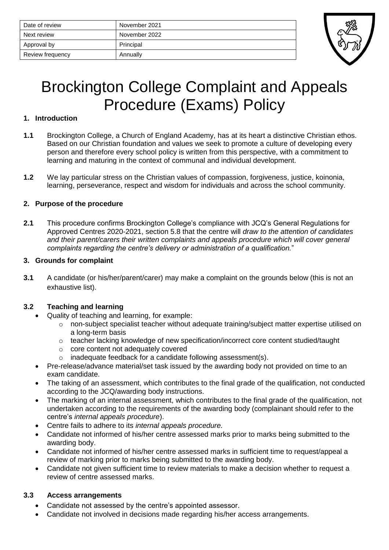| Date of review   | November 2021 |
|------------------|---------------|
| Next review      | November 2022 |
| Approval by      | Principal     |
| Review frequency | Annually      |



# Brockington College Complaint and Appeals Procedure (Exams) Policy

#### **1. Introduction**

- **1.1** Brockington College, a Church of England Academy, has at its heart a distinctive Christian ethos. Based on our Christian foundation and values we seek to promote a culture of developing every person and therefore every school policy is written from this perspective, with a commitment to learning and maturing in the context of communal and individual development.
- **1.2** We lay particular stress on the Christian values of compassion, forgiveness, justice, koinonia, learning, perseverance, respect and wisdom for individuals and across the school community.

## **2. Purpose of the procedure**

**2.1** This procedure confirms Brockington College's compliance with JCQ's General Regulations for Approved Centres 2020-2021, section 5.8 that the centre will *draw to the attention of candidates and their parent/carers their written complaints and appeals procedure which will cover general complaints regarding the centre's delivery or administration of a qualification.*"

#### **3. Grounds for complaint**

**3.1** A candidate (or his/her/parent/carer) may make a complaint on the grounds below (this is not an exhaustive list).

## **3.2 Teaching and learning**

- Quality of teaching and learning, for example:
	- o non-subject specialist teacher without adequate training/subject matter expertise utilised on a long-term basis
	- $\circ$  teacher lacking knowledge of new specification/incorrect core content studied/taught
	- o core content not adequately covered
	- $\circ$  inadequate feedback for a candidate following assessment(s).
- Pre-release/advance material/set task issued by the awarding body not provided on time to an exam candidate.
- The taking of an assessment, which contributes to the final grade of the qualification, not conducted according to the JCQ/awarding body instructions.
- The marking of an internal assessment, which contributes to the final grade of the qualification, not undertaken according to the requirements of the awarding body (complainant should refer to the centre's *internal appeals procedure*).
- Centre fails to adhere to its *internal appeals procedure.*
- Candidate not informed of his/her centre assessed marks prior to marks being submitted to the awarding body.
- Candidate not informed of his/her centre assessed marks in sufficient time to request/appeal a review of marking prior to marks being submitted to the awarding body.
- Candidate not given sufficient time to review materials to make a decision whether to request a review of centre assessed marks.

#### **3.3 Access arrangements**

- Candidate not assessed by the centre's appointed assessor.
- Candidate not involved in decisions made regarding his/her access arrangements.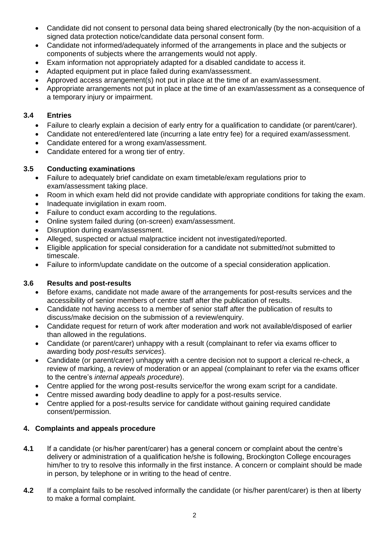- Candidate did not consent to personal data being shared electronically (by the non-acquisition of a signed data protection notice/candidate data personal consent form.
- Candidate not informed/adequately informed of the arrangements in place and the subjects or components of subjects where the arrangements would not apply.
- Exam information not appropriately adapted for a disabled candidate to access it.
- Adapted equipment put in place failed during exam/assessment.
- Approved access arrangement(s) not put in place at the time of an exam/assessment.
- Appropriate arrangements not put in place at the time of an exam/assessment as a consequence of a temporary injury or impairment.

## **3.4 Entries**

- Failure to clearly explain a decision of early entry for a qualification to candidate (or parent/carer).
- Candidate not entered/entered late (incurring a late entry fee) for a required exam/assessment.
- Candidate entered for a wrong exam/assessment.
- Candidate entered for a wrong tier of entry.

# **3.5 Conducting examinations**

- Failure to adequately brief candidate on exam timetable/exam regulations prior to exam/assessment taking place.
- Room in which exam held did not provide candidate with appropriate conditions for taking the exam.
- Inadequate invigilation in exam room.
- Failure to conduct exam according to the regulations.
- Online system failed during (on-screen) exam/assessment.
- Disruption during exam/assessment.
- Alleged, suspected or actual malpractice incident not investigated/reported.
- Eligible application for special consideration for a candidate not submitted/not submitted to timescale.
- Failure to inform/update candidate on the outcome of a special consideration application.

# **3.6 Results and post-results**

- Before exams, candidate not made aware of the arrangements for post-results services and the accessibility of senior members of centre staff after the publication of results.
- Candidate not having access to a member of senior staff after the publication of results to discuss/make decision on the submission of a review/enquiry.
- Candidate request for return of work after moderation and work not available/disposed of earlier than allowed in the regulations.
- Candidate (or parent/carer) unhappy with a result (complainant to refer via exams officer to awarding body *post-results services*).
- Candidate (or parent/carer) unhappy with a centre decision not to support a clerical re-check, a review of marking, a review of moderation or an appeal (complainant to refer via the exams officer to the centre's *internal appeals procedure*).
- Centre applied for the wrong post-results service/for the wrong exam script for a candidate.
- Centre missed awarding body deadline to apply for a post-results service.
- Centre applied for a post-results service for candidate without gaining required candidate consent/permission.

# **4. Complaints and appeals procedure**

- **4.1** If a candidate (or his/her parent/carer) has a general concern or complaint about the centre's delivery or administration of a qualification he/she is following, Brockington College encourages him/her to try to resolve this informally in the first instance. A concern or complaint should be made in person, by telephone or in writing to the head of centre.
- **4.2** If a complaint fails to be resolved informally the candidate (or his/her parent/carer) is then at liberty to make a formal complaint.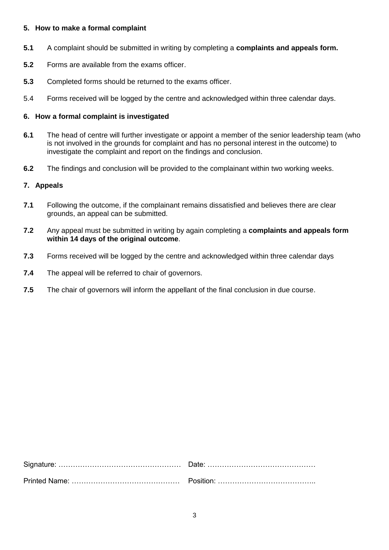#### **5. How to make a formal complaint**

- **5.1** A complaint should be submitted in writing by completing a **complaints and appeals form.**
- **5.2** Forms are available from the exams officer.
- **5.3** Completed forms should be returned to the exams officer.
- 5.4 Forms received will be logged by the centre and acknowledged within three calendar days.

#### **6. How a formal complaint is investigated**

- **6.1** The head of centre will further investigate or appoint a member of the senior leadership team (who is not involved in the grounds for complaint and has no personal interest in the outcome) to investigate the complaint and report on the findings and conclusion.
- **6.2** The findings and conclusion will be provided to the complainant within two working weeks.

#### **7. Appeals**

- **7.1** Following the outcome, if the complainant remains dissatisfied and believes there are clear grounds, an appeal can be submitted.
- **7.2** Any appeal must be submitted in writing by again completing a **complaints and appeals form within 14 days of the original outcome**.
- **7.3** Forms received will be logged by the centre and acknowledged within three calendar days
- **7.4** The appeal will be referred to chair of governors.
- **7.5** The chair of governors will inform the appellant of the final conclusion in due course.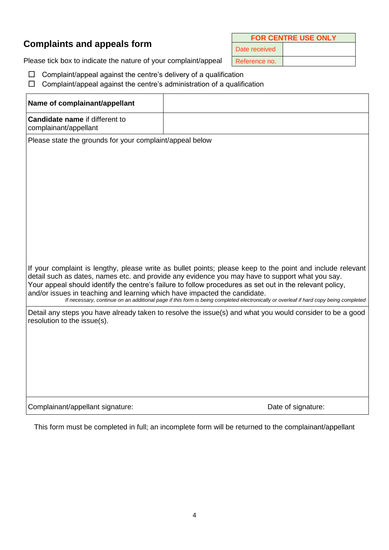# **Complaints and appeals form**

**FOR CENTRE USE ONLY**

Date received

Please tick box to indicate the nature of your complaint/appeal  $R$ eference no.

- $\Box$  Complaint/appeal against the centre's delivery of a qualification
- $\Box$  Complaint/appeal against the centre's administration of a qualification

| Name of complainant/appellant                                                                                                                                                                                                                                                                                                                                                                                                                                                                                                                  |                    |  |  |  |  |
|------------------------------------------------------------------------------------------------------------------------------------------------------------------------------------------------------------------------------------------------------------------------------------------------------------------------------------------------------------------------------------------------------------------------------------------------------------------------------------------------------------------------------------------------|--------------------|--|--|--|--|
| <b>Candidate name if different to</b><br>complainant/appellant                                                                                                                                                                                                                                                                                                                                                                                                                                                                                 |                    |  |  |  |  |
| Please state the grounds for your complaint/appeal below                                                                                                                                                                                                                                                                                                                                                                                                                                                                                       |                    |  |  |  |  |
|                                                                                                                                                                                                                                                                                                                                                                                                                                                                                                                                                |                    |  |  |  |  |
|                                                                                                                                                                                                                                                                                                                                                                                                                                                                                                                                                |                    |  |  |  |  |
|                                                                                                                                                                                                                                                                                                                                                                                                                                                                                                                                                |                    |  |  |  |  |
|                                                                                                                                                                                                                                                                                                                                                                                                                                                                                                                                                |                    |  |  |  |  |
|                                                                                                                                                                                                                                                                                                                                                                                                                                                                                                                                                |                    |  |  |  |  |
|                                                                                                                                                                                                                                                                                                                                                                                                                                                                                                                                                |                    |  |  |  |  |
|                                                                                                                                                                                                                                                                                                                                                                                                                                                                                                                                                |                    |  |  |  |  |
| If your complaint is lengthy, please write as bullet points; please keep to the point and include relevant<br>detail such as dates, names etc. and provide any evidence you may have to support what you say.<br>Your appeal should identify the centre's failure to follow procedures as set out in the relevant policy,<br>and/or issues in teaching and learning which have impacted the candidate.<br>If necessary, continue on an additional page if this form is being completed electronically or overleaf if hard copy being completed |                    |  |  |  |  |
| Detail any steps you have already taken to resolve the issue(s) and what you would consider to be a good<br>resolution to the issue(s).                                                                                                                                                                                                                                                                                                                                                                                                        |                    |  |  |  |  |
|                                                                                                                                                                                                                                                                                                                                                                                                                                                                                                                                                |                    |  |  |  |  |
|                                                                                                                                                                                                                                                                                                                                                                                                                                                                                                                                                |                    |  |  |  |  |
|                                                                                                                                                                                                                                                                                                                                                                                                                                                                                                                                                |                    |  |  |  |  |
|                                                                                                                                                                                                                                                                                                                                                                                                                                                                                                                                                |                    |  |  |  |  |
| Complainant/appellant signature:                                                                                                                                                                                                                                                                                                                                                                                                                                                                                                               | Date of signature: |  |  |  |  |
|                                                                                                                                                                                                                                                                                                                                                                                                                                                                                                                                                |                    |  |  |  |  |

This form must be completed in full; an incomplete form will be returned to the complainant/appellant